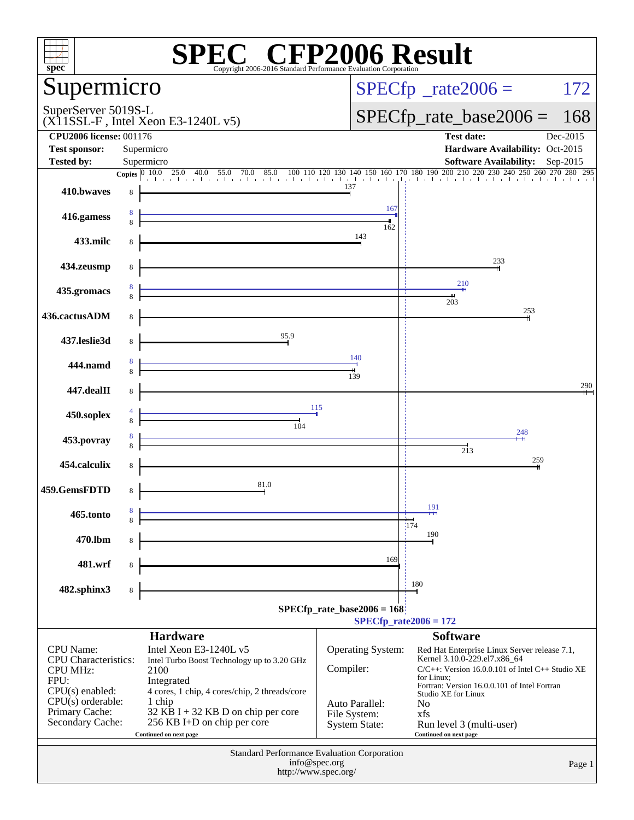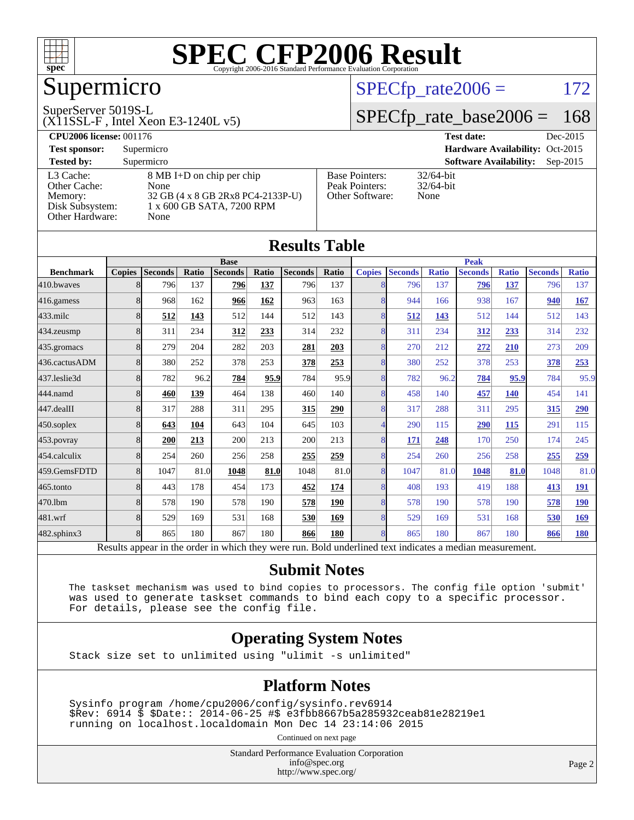

## Supermicro

#### SuperServer 5019S-L

(X11SSL-F , Intel Xeon E3-1240L v5)

#### $SPECTp_rate2006 = 172$

### [SPECfp\\_rate\\_base2006 =](http://www.spec.org/auto/cpu2006/Docs/result-fields.html#SPECfpratebase2006) 168

| <b>CPU2006 license: 001176</b> |                                   |                       | Dec-2015<br><b>Test date:</b>               |  |  |  |  |
|--------------------------------|-----------------------------------|-----------------------|---------------------------------------------|--|--|--|--|
| <b>Test sponsor:</b>           | Supermicro                        |                       | Hardware Availability: Oct-2015             |  |  |  |  |
| <b>Tested by:</b>              | Supermicro                        |                       | <b>Software Availability:</b><br>$Sep-2015$ |  |  |  |  |
| L3 Cache:                      | 8 MB I+D on chip per chip         | <b>Base Pointers:</b> | $32/64$ -bit                                |  |  |  |  |
| Other Cache:                   | None                              | Peak Pointers:        | $32/64$ -bit                                |  |  |  |  |
| Memory:                        | 32 GB (4 x 8 GB 2Rx8 PC4-2133P-U) | Other Software:       | None                                        |  |  |  |  |
| Disk Subsystem:                | 1 x 600 GB SATA, 7200 RPM         |                       |                                             |  |  |  |  |
| Other Hardware:                | None                              |                       |                                             |  |  |  |  |

| Results Tadie                                                                                            |               |                |       |                |       |                |             |                          |                |              |                |              |                |              |
|----------------------------------------------------------------------------------------------------------|---------------|----------------|-------|----------------|-------|----------------|-------------|--------------------------|----------------|--------------|----------------|--------------|----------------|--------------|
|                                                                                                          | <b>Base</b>   |                |       |                |       |                | <b>Peak</b> |                          |                |              |                |              |                |              |
| <b>Benchmark</b>                                                                                         | <b>Copies</b> | <b>Seconds</b> | Ratio | <b>Seconds</b> | Ratio | <b>Seconds</b> | Ratio       | <b>Copies</b>            | <b>Seconds</b> | <b>Ratio</b> | <b>Seconds</b> | <b>Ratio</b> | <b>Seconds</b> | <b>Ratio</b> |
| 410.bwaves                                                                                               | 8             | 796            | 137   | 796            | 137   | 796            | 137         |                          | 796            | 137          | 796            | 137          | 796            | 137          |
| $416$ .gamess                                                                                            | 8             | 968            | 162   | 966            | 162   | 963            | 163         | 8                        | 944            | 166          | 938            | 167          | 940            | 167          |
| $433$ .milc                                                                                              | 8             | 512            | 143   | 512            | 144   | 512            | 143         | $\overline{8}$           | 512            | 143          | 512            | 144          | 512            | 143          |
| 434.zeusmp                                                                                               | 8             | 311            | 234   | 312            | 233   | 314            | 232         | 8                        | 311            | 234          | 312            | 233          | 314            | 232          |
| 435.gromacs                                                                                              | 8             | 279            | 204   | 282            | 203   | 281            | 203         | 8                        | 270            | 212          | 272            | 210          | 273            | 209          |
| 436.cactusADM                                                                                            | 8             | 380            | 252   | 378            | 253   | 378            | 253         | 8                        | 380            | 252          | 378            | 253          | 378            | 253          |
| 437.leslie3d                                                                                             | 8             | 782            | 96.2  | 784            | 95.9  | 784            | 95.9        | 8                        | 782            | 96.2         | 784            | 95.9         | 784            | 95.9         |
| 444.namd                                                                                                 | 8             | 460            | 139   | 464            | 138   | 460            | 140         | 8                        | 458            | 140          | 457            | <b>140</b>   | 454            | 141          |
| $447$ .dealII                                                                                            | 8             | 317            | 288   | 311            | 295   | 315            | 290         | $\overline{8}$           | 317            | 288          | 311            | 295          | 315            | 290          |
| $450$ .soplex                                                                                            | 8             | 643            | 104   | 643            | 104   | 645            | 103         | $\overline{\mathcal{A}}$ | 290            | 115          | 290            | 115          | 291            | 115          |
| 453.povray                                                                                               | 8             | 200            | 213   | 200            | 213   | 200            | 213         | 8                        | 171            | 248          | 170            | 250          | 174            | 245          |
| 454.calculix                                                                                             | 8             | 254            | 260   | 256            | 258   | 255            | 259         | 8                        | 254            | 260          | 256            | 258          | 255            | 259          |
| 459.GemsFDTD                                                                                             | 8             | 1047           | 81.0  | 1048           | 81.0  | 1048           | 81.0        | 8                        | 1047           | 81.0         | 1048           | 81.0         | 1048           | 81.0         |
| $465$ .tonto                                                                                             | 8             | 443            | 178   | 454            | 173   | 452            | 174         | 8                        | 408            | 193          | 419            | 188          | 413            | <u>191</u>   |
| 470.1bm                                                                                                  | 8             | 578            | 190   | 578            | 190   | 578            | 190         | 8                        | 578            | 190          | 578            | 190          | 578            | <b>190</b>   |
| 481.wrf                                                                                                  | 8             | 529            | 169   | 531            | 168   | 530            | 169         | 8                        | 529            | 169          | 531            | 168          | 530            | <u>169</u>   |
| 482.sphinx3                                                                                              | 8             | 865            | 180   | 867            | 180   | 866            | 180         | 8                        | 865            | 180          | 867            | 180          | 866            | 180          |
| Results appear in the order in which they were run. Bold underlined text indicates a median measurement. |               |                |       |                |       |                |             |                          |                |              |                |              |                |              |

**[Submit Notes](http://www.spec.org/auto/cpu2006/Docs/result-fields.html#SubmitNotes)**

 The taskset mechanism was used to bind copies to processors. The config file option 'submit' was used to generate taskset commands to bind each copy to a specific processor. For details, please see the config file.

#### **[Operating System Notes](http://www.spec.org/auto/cpu2006/Docs/result-fields.html#OperatingSystemNotes)**

Stack size set to unlimited using "ulimit -s unlimited"

#### **[Platform Notes](http://www.spec.org/auto/cpu2006/Docs/result-fields.html#PlatformNotes)**

 Sysinfo program /home/cpu2006/config/sysinfo.rev6914 \$Rev: 6914 \$ \$Date:: 2014-06-25 #\$ e3fbb8667b5a285932ceab81e28219e1 running on localhost.localdomain Mon Dec 14 23:14:06 2015

Continued on next page

Standard Performance Evaluation Corporation [info@spec.org](mailto:info@spec.org) <http://www.spec.org/>

Page 2

#### **[Results Table](http://www.spec.org/auto/cpu2006/Docs/result-fields.html#ResultsTable)**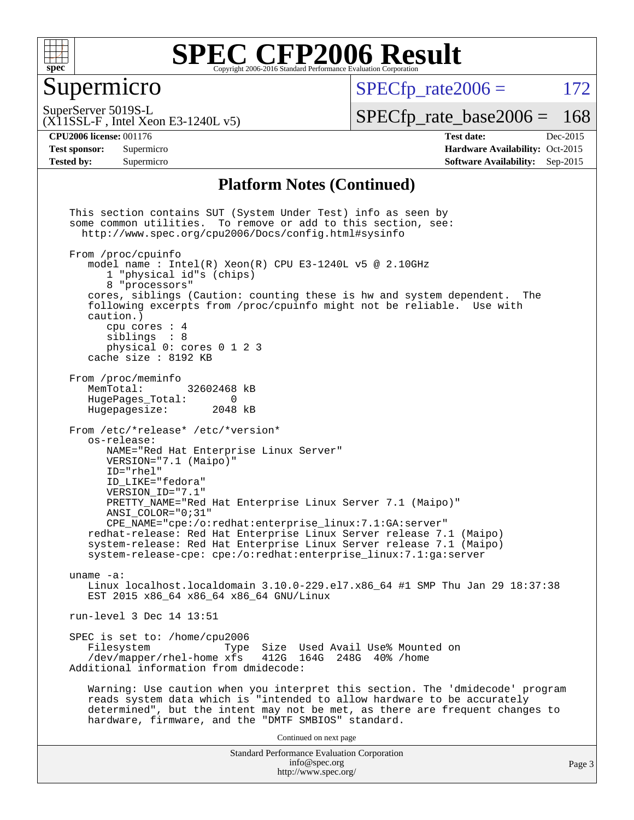

### Supermicro

 $SPECTp\_rate2006 = 172$ 

SuperServer 5019S-L

[SPECfp\\_rate\\_base2006 =](http://www.spec.org/auto/cpu2006/Docs/result-fields.html#SPECfpratebase2006) 168

(X11SSL-F , Intel Xeon E3-1240L v5)

**[CPU2006 license:](http://www.spec.org/auto/cpu2006/Docs/result-fields.html#CPU2006license)** 001176 **[Test date:](http://www.spec.org/auto/cpu2006/Docs/result-fields.html#Testdate)** Dec-2015 **[Test sponsor:](http://www.spec.org/auto/cpu2006/Docs/result-fields.html#Testsponsor)** Supermicro Supermicro **[Hardware Availability:](http://www.spec.org/auto/cpu2006/Docs/result-fields.html#HardwareAvailability)** Oct-2015 **[Tested by:](http://www.spec.org/auto/cpu2006/Docs/result-fields.html#Testedby)** Supermicro **Supermicro [Software Availability:](http://www.spec.org/auto/cpu2006/Docs/result-fields.html#SoftwareAvailability)** Sep-2015

#### **[Platform Notes \(Continued\)](http://www.spec.org/auto/cpu2006/Docs/result-fields.html#PlatformNotes)**

Standard Performance Evaluation Corporation [info@spec.org](mailto:info@spec.org) <http://www.spec.org/> This section contains SUT (System Under Test) info as seen by some common utilities. To remove or add to this section, see: <http://www.spec.org/cpu2006/Docs/config.html#sysinfo> From /proc/cpuinfo model name : Intel(R) Xeon(R) CPU E3-1240L v5 @ 2.10GHz 1 "physical id"s (chips) 8 "processors" cores, siblings (Caution: counting these is hw and system dependent. The following excerpts from /proc/cpuinfo might not be reliable. Use with caution.) cpu cores : 4 siblings : 8 physical 0: cores 0 1 2 3 cache size : 8192 KB From /proc/meminfo MemTotal: 32602468 kB<br>HugePages Total: 0 HugePages\_Total: 0 Hugepagesize: 2048 kB From /etc/\*release\* /etc/\*version\* os-release: NAME="Red Hat Enterprise Linux Server" VERSION="7.1 (Maipo)" ID="rhel" ID\_LIKE="fedora" VERSION\_ID="7.1" PRETTY\_NAME="Red Hat Enterprise Linux Server 7.1 (Maipo)" ANSI\_COLOR="0;31" CPE\_NAME="cpe:/o:redhat:enterprise\_linux:7.1:GA:server" redhat-release: Red Hat Enterprise Linux Server release 7.1 (Maipo) system-release: Red Hat Enterprise Linux Server release 7.1 (Maipo) system-release-cpe: cpe:/o:redhat:enterprise\_linux:7.1:ga:server uname -a: Linux localhost.localdomain 3.10.0-229.el7.x86\_64 #1 SMP Thu Jan 29 18:37:38 EST 2015 x86\_64 x86\_64 x86\_64 GNU/Linux run-level 3 Dec 14 13:51 SPEC is set to: /home/cpu2006<br>Filesystem Type Type Size Used Avail Use% Mounted on /dev/mapper/rhel-home xfs 412G 164G 248G 40% /home Additional information from dmidecode: Warning: Use caution when you interpret this section. The 'dmidecode' program reads system data which is "intended to allow hardware to be accurately determined", but the intent may not be met, as there are frequent changes to hardware, firmware, and the "DMTF SMBIOS" standard. Continued on next page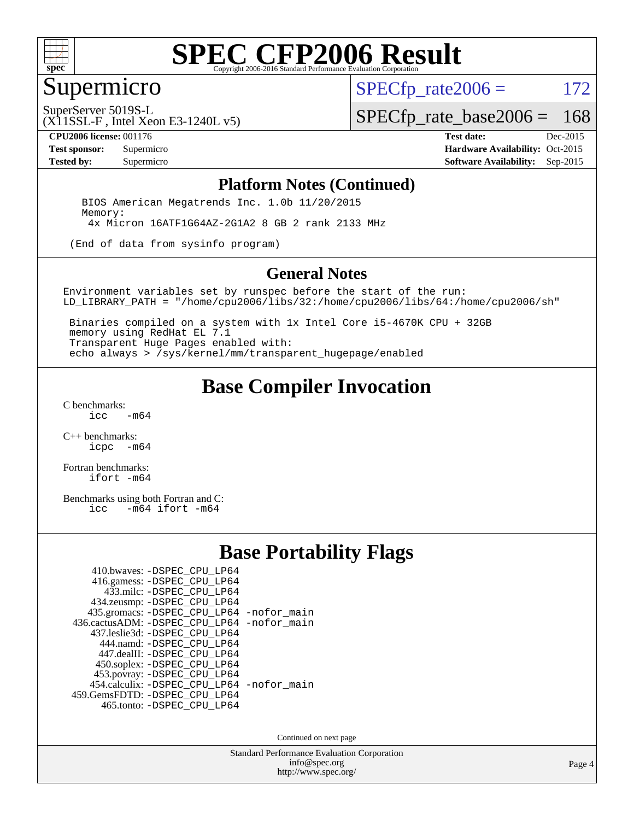

## Supermicro

 $SPECTp\_rate2006 = 172$ 

SuperServer 5019S-L

[SPECfp\\_rate\\_base2006 =](http://www.spec.org/auto/cpu2006/Docs/result-fields.html#SPECfpratebase2006) 168

(X11SSL-F , Intel Xeon E3-1240L v5)

**[CPU2006 license:](http://www.spec.org/auto/cpu2006/Docs/result-fields.html#CPU2006license)** 001176 **[Test date:](http://www.spec.org/auto/cpu2006/Docs/result-fields.html#Testdate)** Dec-2015 **[Test sponsor:](http://www.spec.org/auto/cpu2006/Docs/result-fields.html#Testsponsor)** Supermicro Supermicro **[Hardware Availability:](http://www.spec.org/auto/cpu2006/Docs/result-fields.html#HardwareAvailability)** Oct-2015 **[Tested by:](http://www.spec.org/auto/cpu2006/Docs/result-fields.html#Testedby)** Supermicro **Supermicro [Software Availability:](http://www.spec.org/auto/cpu2006/Docs/result-fields.html#SoftwareAvailability)** Sep-2015

#### **[Platform Notes \(Continued\)](http://www.spec.org/auto/cpu2006/Docs/result-fields.html#PlatformNotes)**

 BIOS American Megatrends Inc. 1.0b 11/20/2015 Memory: 4x Micron 16ATF1G64AZ-2G1A2 8 GB 2 rank 2133 MHz

(End of data from sysinfo program)

#### **[General Notes](http://www.spec.org/auto/cpu2006/Docs/result-fields.html#GeneralNotes)**

Environment variables set by runspec before the start of the run: LD\_LIBRARY\_PATH = "/home/cpu2006/libs/32:/home/cpu2006/libs/64:/home/cpu2006/sh"

 Binaries compiled on a system with 1x Intel Core i5-4670K CPU + 32GB memory using RedHat EL 7.1 Transparent Huge Pages enabled with: echo always > /sys/kernel/mm/transparent\_hugepage/enabled

### **[Base Compiler Invocation](http://www.spec.org/auto/cpu2006/Docs/result-fields.html#BaseCompilerInvocation)**

[C benchmarks](http://www.spec.org/auto/cpu2006/Docs/result-fields.html#Cbenchmarks):  $-m64$ 

[C++ benchmarks:](http://www.spec.org/auto/cpu2006/Docs/result-fields.html#CXXbenchmarks) [icpc -m64](http://www.spec.org/cpu2006/results/res2016q1/cpu2006-20151217-38454.flags.html#user_CXXbase_intel_icpc_64bit_bedb90c1146cab66620883ef4f41a67e)

[Fortran benchmarks](http://www.spec.org/auto/cpu2006/Docs/result-fields.html#Fortranbenchmarks): [ifort -m64](http://www.spec.org/cpu2006/results/res2016q1/cpu2006-20151217-38454.flags.html#user_FCbase_intel_ifort_64bit_ee9d0fb25645d0210d97eb0527dcc06e)

[Benchmarks using both Fortran and C](http://www.spec.org/auto/cpu2006/Docs/result-fields.html#BenchmarksusingbothFortranandC):<br>icc -m64 ifort -m64  $-m64$  ifort  $-m64$ 

#### **[Base Portability Flags](http://www.spec.org/auto/cpu2006/Docs/result-fields.html#BasePortabilityFlags)**

| 410.bwaves: -DSPEC CPU LP64                 |  |
|---------------------------------------------|--|
| 416.gamess: -DSPEC_CPU_LP64                 |  |
| 433.milc: -DSPEC CPU LP64                   |  |
| 434.zeusmp: -DSPEC CPU LP64                 |  |
| 435.gromacs: -DSPEC_CPU_LP64 -nofor_main    |  |
| 436.cactusADM: -DSPEC CPU LP64 -nofor main  |  |
| 437.leslie3d: -DSPEC CPU LP64               |  |
| 444.namd: -DSPEC CPU LP64                   |  |
| 447.dealII: -DSPEC_CPU LP64                 |  |
| 450.soplex: -DSPEC_CPU_LP64                 |  |
| 453.povray: -DSPEC_CPU_LP64                 |  |
| 454.calculix: - DSPEC CPU LP64 - nofor main |  |
| 459. GemsFDTD: - DSPEC CPU LP64             |  |
| 465.tonto: -DSPEC_CPU_LP64                  |  |

Continued on next page

Standard Performance Evaluation Corporation [info@spec.org](mailto:info@spec.org) <http://www.spec.org/>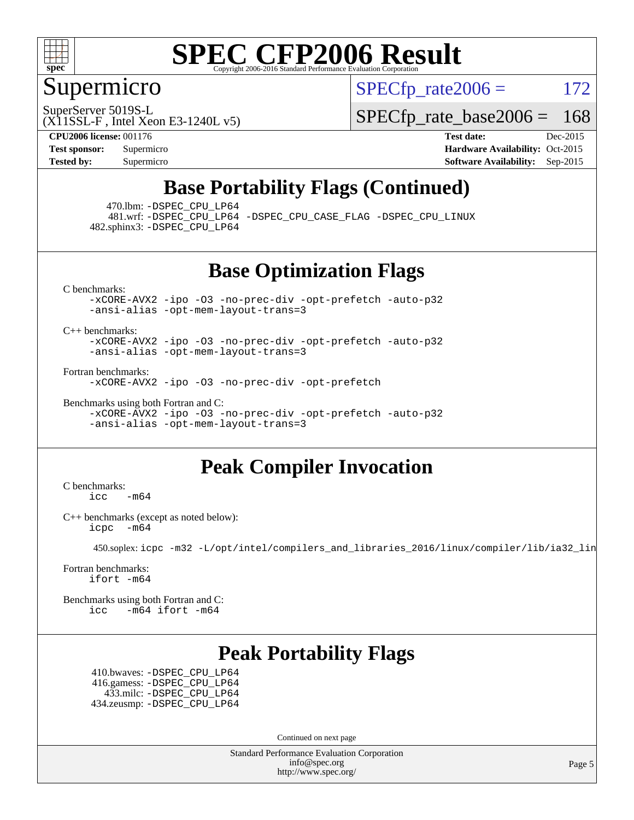

### Supermicro

 $SPECTp\_rate2006 = 172$ 

SuperServer 5019S-L

[SPECfp\\_rate\\_base2006 =](http://www.spec.org/auto/cpu2006/Docs/result-fields.html#SPECfpratebase2006) 168

(X11SSL-F , Intel Xeon E3-1240L v5)

**[CPU2006 license:](http://www.spec.org/auto/cpu2006/Docs/result-fields.html#CPU2006license)** 001176 **[Test date:](http://www.spec.org/auto/cpu2006/Docs/result-fields.html#Testdate)** Dec-2015 **[Test sponsor:](http://www.spec.org/auto/cpu2006/Docs/result-fields.html#Testsponsor)** Supermicro Supermicro **[Hardware Availability:](http://www.spec.org/auto/cpu2006/Docs/result-fields.html#HardwareAvailability)** Oct-2015 **[Tested by:](http://www.spec.org/auto/cpu2006/Docs/result-fields.html#Testedby)** Supermicro **Supermicro [Software Availability:](http://www.spec.org/auto/cpu2006/Docs/result-fields.html#SoftwareAvailability)** Sep-2015

## **[Base Portability Flags \(Continued\)](http://www.spec.org/auto/cpu2006/Docs/result-fields.html#BasePortabilityFlags)**

470.lbm: [-DSPEC\\_CPU\\_LP64](http://www.spec.org/cpu2006/results/res2016q1/cpu2006-20151217-38454.flags.html#suite_basePORTABILITY470_lbm_DSPEC_CPU_LP64)

 481.wrf: [-DSPEC\\_CPU\\_LP64](http://www.spec.org/cpu2006/results/res2016q1/cpu2006-20151217-38454.flags.html#suite_basePORTABILITY481_wrf_DSPEC_CPU_LP64) [-DSPEC\\_CPU\\_CASE\\_FLAG](http://www.spec.org/cpu2006/results/res2016q1/cpu2006-20151217-38454.flags.html#b481.wrf_baseCPORTABILITY_DSPEC_CPU_CASE_FLAG) [-DSPEC\\_CPU\\_LINUX](http://www.spec.org/cpu2006/results/res2016q1/cpu2006-20151217-38454.flags.html#b481.wrf_baseCPORTABILITY_DSPEC_CPU_LINUX) 482.sphinx3: [-DSPEC\\_CPU\\_LP64](http://www.spec.org/cpu2006/results/res2016q1/cpu2006-20151217-38454.flags.html#suite_basePORTABILITY482_sphinx3_DSPEC_CPU_LP64)

**[Base Optimization Flags](http://www.spec.org/auto/cpu2006/Docs/result-fields.html#BaseOptimizationFlags)**

[C benchmarks](http://www.spec.org/auto/cpu2006/Docs/result-fields.html#Cbenchmarks):

[-xCORE-AVX2](http://www.spec.org/cpu2006/results/res2016q1/cpu2006-20151217-38454.flags.html#user_CCbase_f-xAVX2_5f5fc0cbe2c9f62c816d3e45806c70d7) [-ipo](http://www.spec.org/cpu2006/results/res2016q1/cpu2006-20151217-38454.flags.html#user_CCbase_f-ipo) [-O3](http://www.spec.org/cpu2006/results/res2016q1/cpu2006-20151217-38454.flags.html#user_CCbase_f-O3) [-no-prec-div](http://www.spec.org/cpu2006/results/res2016q1/cpu2006-20151217-38454.flags.html#user_CCbase_f-no-prec-div) [-opt-prefetch](http://www.spec.org/cpu2006/results/res2016q1/cpu2006-20151217-38454.flags.html#user_CCbase_f-opt-prefetch) [-auto-p32](http://www.spec.org/cpu2006/results/res2016q1/cpu2006-20151217-38454.flags.html#user_CCbase_f-auto-p32) [-ansi-alias](http://www.spec.org/cpu2006/results/res2016q1/cpu2006-20151217-38454.flags.html#user_CCbase_f-ansi-alias) [-opt-mem-layout-trans=3](http://www.spec.org/cpu2006/results/res2016q1/cpu2006-20151217-38454.flags.html#user_CCbase_f-opt-mem-layout-trans_a7b82ad4bd7abf52556d4961a2ae94d5)

[C++ benchmarks:](http://www.spec.org/auto/cpu2006/Docs/result-fields.html#CXXbenchmarks)

[-xCORE-AVX2](http://www.spec.org/cpu2006/results/res2016q1/cpu2006-20151217-38454.flags.html#user_CXXbase_f-xAVX2_5f5fc0cbe2c9f62c816d3e45806c70d7) [-ipo](http://www.spec.org/cpu2006/results/res2016q1/cpu2006-20151217-38454.flags.html#user_CXXbase_f-ipo) [-O3](http://www.spec.org/cpu2006/results/res2016q1/cpu2006-20151217-38454.flags.html#user_CXXbase_f-O3) [-no-prec-div](http://www.spec.org/cpu2006/results/res2016q1/cpu2006-20151217-38454.flags.html#user_CXXbase_f-no-prec-div) [-opt-prefetch](http://www.spec.org/cpu2006/results/res2016q1/cpu2006-20151217-38454.flags.html#user_CXXbase_f-opt-prefetch) [-auto-p32](http://www.spec.org/cpu2006/results/res2016q1/cpu2006-20151217-38454.flags.html#user_CXXbase_f-auto-p32) [-ansi-alias](http://www.spec.org/cpu2006/results/res2016q1/cpu2006-20151217-38454.flags.html#user_CXXbase_f-ansi-alias) [-opt-mem-layout-trans=3](http://www.spec.org/cpu2006/results/res2016q1/cpu2006-20151217-38454.flags.html#user_CXXbase_f-opt-mem-layout-trans_a7b82ad4bd7abf52556d4961a2ae94d5)

[Fortran benchmarks](http://www.spec.org/auto/cpu2006/Docs/result-fields.html#Fortranbenchmarks):

[-xCORE-AVX2](http://www.spec.org/cpu2006/results/res2016q1/cpu2006-20151217-38454.flags.html#user_FCbase_f-xAVX2_5f5fc0cbe2c9f62c816d3e45806c70d7) [-ipo](http://www.spec.org/cpu2006/results/res2016q1/cpu2006-20151217-38454.flags.html#user_FCbase_f-ipo) [-O3](http://www.spec.org/cpu2006/results/res2016q1/cpu2006-20151217-38454.flags.html#user_FCbase_f-O3) [-no-prec-div](http://www.spec.org/cpu2006/results/res2016q1/cpu2006-20151217-38454.flags.html#user_FCbase_f-no-prec-div) [-opt-prefetch](http://www.spec.org/cpu2006/results/res2016q1/cpu2006-20151217-38454.flags.html#user_FCbase_f-opt-prefetch)

[Benchmarks using both Fortran and C](http://www.spec.org/auto/cpu2006/Docs/result-fields.html#BenchmarksusingbothFortranandC): [-xCORE-AVX2](http://www.spec.org/cpu2006/results/res2016q1/cpu2006-20151217-38454.flags.html#user_CC_FCbase_f-xAVX2_5f5fc0cbe2c9f62c816d3e45806c70d7) [-ipo](http://www.spec.org/cpu2006/results/res2016q1/cpu2006-20151217-38454.flags.html#user_CC_FCbase_f-ipo) [-O3](http://www.spec.org/cpu2006/results/res2016q1/cpu2006-20151217-38454.flags.html#user_CC_FCbase_f-O3) [-no-prec-div](http://www.spec.org/cpu2006/results/res2016q1/cpu2006-20151217-38454.flags.html#user_CC_FCbase_f-no-prec-div) [-opt-prefetch](http://www.spec.org/cpu2006/results/res2016q1/cpu2006-20151217-38454.flags.html#user_CC_FCbase_f-opt-prefetch) [-auto-p32](http://www.spec.org/cpu2006/results/res2016q1/cpu2006-20151217-38454.flags.html#user_CC_FCbase_f-auto-p32) [-ansi-alias](http://www.spec.org/cpu2006/results/res2016q1/cpu2006-20151217-38454.flags.html#user_CC_FCbase_f-ansi-alias) [-opt-mem-layout-trans=3](http://www.spec.org/cpu2006/results/res2016q1/cpu2006-20151217-38454.flags.html#user_CC_FCbase_f-opt-mem-layout-trans_a7b82ad4bd7abf52556d4961a2ae94d5)

## **[Peak Compiler Invocation](http://www.spec.org/auto/cpu2006/Docs/result-fields.html#PeakCompilerInvocation)**

[C benchmarks](http://www.spec.org/auto/cpu2006/Docs/result-fields.html#Cbenchmarks):  $\text{icc}$  -m64

[C++ benchmarks \(except as noted below\):](http://www.spec.org/auto/cpu2006/Docs/result-fields.html#CXXbenchmarksexceptasnotedbelow) [icpc -m64](http://www.spec.org/cpu2006/results/res2016q1/cpu2006-20151217-38454.flags.html#user_CXXpeak_intel_icpc_64bit_bedb90c1146cab66620883ef4f41a67e)

450.soplex: [icpc -m32 -L/opt/intel/compilers\\_and\\_libraries\\_2016/linux/compiler/lib/ia32\\_lin](http://www.spec.org/cpu2006/results/res2016q1/cpu2006-20151217-38454.flags.html#user_peakCXXLD450_soplex_intel_icpc_b4f50a394bdb4597aa5879c16bc3f5c5)

[Fortran benchmarks](http://www.spec.org/auto/cpu2006/Docs/result-fields.html#Fortranbenchmarks): [ifort -m64](http://www.spec.org/cpu2006/results/res2016q1/cpu2006-20151217-38454.flags.html#user_FCpeak_intel_ifort_64bit_ee9d0fb25645d0210d97eb0527dcc06e)

[Benchmarks using both Fortran and C](http://www.spec.org/auto/cpu2006/Docs/result-fields.html#BenchmarksusingbothFortranandC): [icc -m64](http://www.spec.org/cpu2006/results/res2016q1/cpu2006-20151217-38454.flags.html#user_CC_FCpeak_intel_icc_64bit_0b7121f5ab7cfabee23d88897260401c) [ifort -m64](http://www.spec.org/cpu2006/results/res2016q1/cpu2006-20151217-38454.flags.html#user_CC_FCpeak_intel_ifort_64bit_ee9d0fb25645d0210d97eb0527dcc06e)

## **[Peak Portability Flags](http://www.spec.org/auto/cpu2006/Docs/result-fields.html#PeakPortabilityFlags)**

 410.bwaves: [-DSPEC\\_CPU\\_LP64](http://www.spec.org/cpu2006/results/res2016q1/cpu2006-20151217-38454.flags.html#suite_peakPORTABILITY410_bwaves_DSPEC_CPU_LP64) 416.gamess: [-DSPEC\\_CPU\\_LP64](http://www.spec.org/cpu2006/results/res2016q1/cpu2006-20151217-38454.flags.html#suite_peakPORTABILITY416_gamess_DSPEC_CPU_LP64) 433.milc: [-DSPEC\\_CPU\\_LP64](http://www.spec.org/cpu2006/results/res2016q1/cpu2006-20151217-38454.flags.html#suite_peakPORTABILITY433_milc_DSPEC_CPU_LP64) 434.zeusmp: [-DSPEC\\_CPU\\_LP64](http://www.spec.org/cpu2006/results/res2016q1/cpu2006-20151217-38454.flags.html#suite_peakPORTABILITY434_zeusmp_DSPEC_CPU_LP64)

Continued on next page

Standard Performance Evaluation Corporation [info@spec.org](mailto:info@spec.org) <http://www.spec.org/>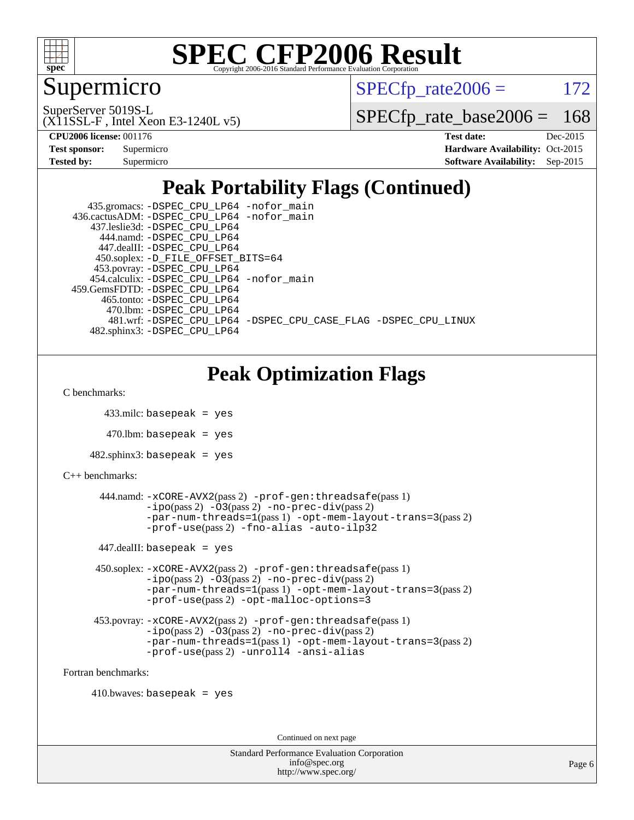

### Supermicro

 $SPECTp\_rate2006 = 172$ 

(X11SSL-F , Intel Xeon E3-1240L v5) SuperServer 5019S-L

[SPECfp\\_rate\\_base2006 =](http://www.spec.org/auto/cpu2006/Docs/result-fields.html#SPECfpratebase2006) 168

| <b>Test sponsor:</b> | Supermicro |
|----------------------|------------|
| <b>Tested by:</b>    | Supermicro |

**[CPU2006 license:](http://www.spec.org/auto/cpu2006/Docs/result-fields.html#CPU2006license)** 001176 **[Test date:](http://www.spec.org/auto/cpu2006/Docs/result-fields.html#Testdate)** Dec-2015 **[Hardware Availability:](http://www.spec.org/auto/cpu2006/Docs/result-fields.html#HardwareAvailability)** Oct-2015 **[Software Availability:](http://www.spec.org/auto/cpu2006/Docs/result-fields.html#SoftwareAvailability)** Sep-2015

## **[Peak Portability Flags \(Continued\)](http://www.spec.org/auto/cpu2006/Docs/result-fields.html#PeakPortabilityFlags)**

| 435.gromacs: -DSPEC_CPU_LP64 -nofor_main                       |
|----------------------------------------------------------------|
| 436.cactusADM: -DSPEC CPU LP64 -nofor main                     |
| 437.leslie3d: -DSPEC CPU LP64                                  |
| 444.namd: -DSPEC CPU LP64                                      |
| 447.dealII: -DSPEC CPU LP64                                    |
| 450.soplex: -D_FILE_OFFSET_BITS=64                             |
| 453.povray: -DSPEC_CPU_LP64                                    |
| 454.calculix: -DSPEC CPU LP64 -nofor main                      |
| 459. GemsFDTD: - DSPEC CPU LP64                                |
| 465.tonto: -DSPEC CPU LP64                                     |
| 470.1bm: - DSPEC CPU LP64                                      |
| 481.wrf: -DSPEC CPU LP64 -DSPEC CPU CASE FLAG -DSPEC CPU LINUX |
| 482.sphinx3: -DSPEC CPU LP64                                   |

## **[Peak Optimization Flags](http://www.spec.org/auto/cpu2006/Docs/result-fields.html#PeakOptimizationFlags)**

[C benchmarks](http://www.spec.org/auto/cpu2006/Docs/result-fields.html#Cbenchmarks):

```
 433.milc: basepeak = yes
```
 $470.$ lbm: basepeak = yes

```
482.sphinx3: basepeak = yes
```

```
C++ benchmarks:
```

```
 444.namd: -xCORE-AVX2(pass 2) -prof-gen:threadsafe(pass 1)
              -no-prec-div(pass 2)-par-num-threads=1(pass 1) -opt-mem-layout-trans=3(pass 2)
              -prof-use(pass 2) -fno-alias -auto-ilp32
     447.dealII: basepeak = yes
      450.soplex: -xCORE-AVX2(pass 2) -prof-gen:threadsafe(pass 1)
              -ipo(pass 2) -O3(pass 2) -no-prec-div(pass 2)
              -par-num-threads=1(pass 1) -opt-mem-layout-trans=3(pass 2)
              -prof-use(pass 2) -opt-malloc-options=3
      453.povray: -xCORE-AVX2(pass 2) -prof-gen:threadsafe(pass 1)
              -no-prec-div(pass 2)-par-num-threads=1(pass 1) -opt-mem-layout-trans=3(pass 2)
              -prof-use(pass 2) -unroll4 -ansi-alias
Fortran benchmarks:
```

```
410.bwaves: basepeak = yes
```
Continued on next page

Standard Performance Evaluation Corporation [info@spec.org](mailto:info@spec.org) <http://www.spec.org/>